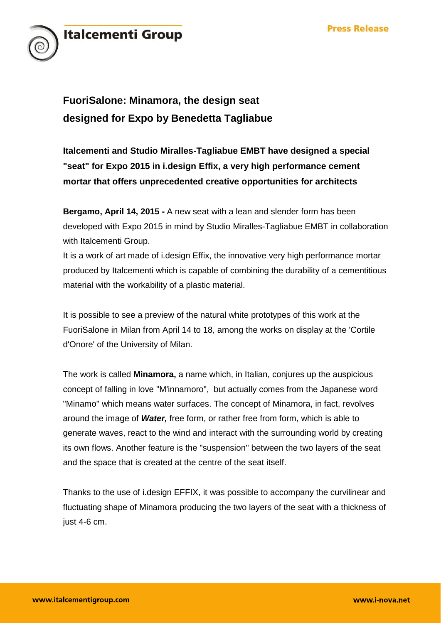

# **FuoriSalone: Minamora, the design seat designed for Expo by Benedetta Tagliabue**

**Italcementi and Studio Miralles-Tagliabue EMBT have designed a special "seat" for Expo 2015 in i.design Effix, a very high performance cement mortar that offers unprecedented creative opportunities for architects** 

**Bergamo, April 14, 2015 -** A new seat with a lean and slender form has been developed with Expo 2015 in mind by Studio Miralles-Tagliabue EMBT in collaboration with Italcementi Group.

It is a work of art made of i.design Effix, the innovative very high performance mortar produced by Italcementi which is capable of combining the durability of a cementitious material with the workability of a plastic material.

It is possible to see a preview of the natural white prototypes of this work at the FuoriSalone in Milan from April 14 to 18, among the works on display at the 'Cortile d'Onore' of the University of Milan.

The work is called **Minamora,** a name which, in Italian, conjures up the auspicious concept of falling in love "M'innamoro", but actually comes from the Japanese word "Minamo" which means water surfaces. The concept of Minamora, in fact, revolves around the image of *Water,* free form, or rather free from form, which is able to generate waves, react to the wind and interact with the surrounding world by creating its own flows. Another feature is the "suspension" between the two layers of the seat and the space that is created at the centre of the seat itself.

Thanks to the use of i.design EFFIX, it was possible to accompany the curvilinear and fluctuating shape of Minamora producing the two layers of the seat with a thickness of just 4-6 cm.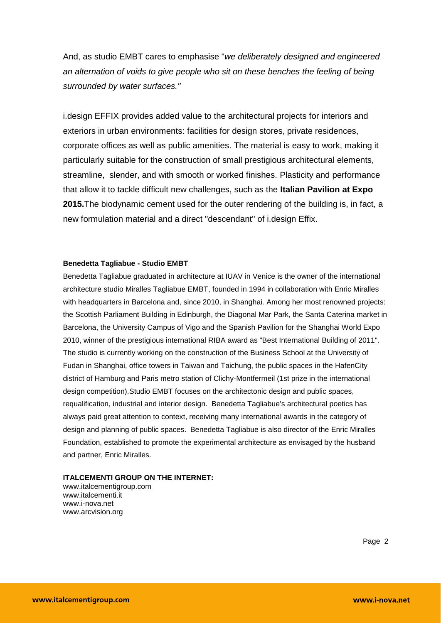And, as studio EMBT cares to emphasise "*we deliberately designed and engineered an alternation of voids to give people who sit on these benches the feeling of being surrounded by water surfaces."*

i.design EFFIX provides added value to the architectural projects for interiors and exteriors in urban environments: facilities for design stores, private residences, corporate offices as well as public amenities. The material is easy to work, making it particularly suitable for the construction of small prestigious architectural elements, streamline, slender, and with smooth or worked finishes. Plasticity and performance that allow it to tackle difficult new challenges, such as the **Italian Pavilion at Expo 2015.**The biodynamic cement used for the outer rendering of the building is, in fact, a new formulation material and a direct "descendant" of i.design Effix.

#### **Benedetta Tagliabue - Studio EMBT**

Benedetta Tagliabue graduated in architecture at IUAV in Venice is the owner of the international architecture studio Miralles Tagliabue EMBT, founded in 1994 in collaboration with Enric Miralles with headquarters in Barcelona and, since 2010, in Shanghai. Among her most renowned projects: the Scottish Parliament Building in Edinburgh, the Diagonal Mar Park, the Santa Caterina market in Barcelona, the University Campus of Vigo and the Spanish Pavilion for the Shanghai World Expo 2010, winner of the prestigious international RIBA award as "Best International Building of 2011". The studio is currently working on the construction of the Business School at the University of Fudan in Shanghai, office towers in Taiwan and Taichung, the public spaces in the HafenCity district of Hamburg and Paris metro station of Clichy-Montfermeil (1st prize in the international design competition).Studio EMBT focuses on the architectonic design and public spaces, requalification, industrial and interior design. Benedetta Tagliabue's architectural poetics has always paid great attention to context, receiving many international awards in the category of design and planning of public spaces. Benedetta Tagliabue is also director of the Enric Miralles Foundation, established to promote the experimental architecture as envisaged by the husband and partner, Enric Miralles.

#### **ITALCEMENTI GROUP ON THE INTERNET:**

www.italcementigroup.com www.italcementi.it www.i-nova.net www.arcvision.org

Page 2